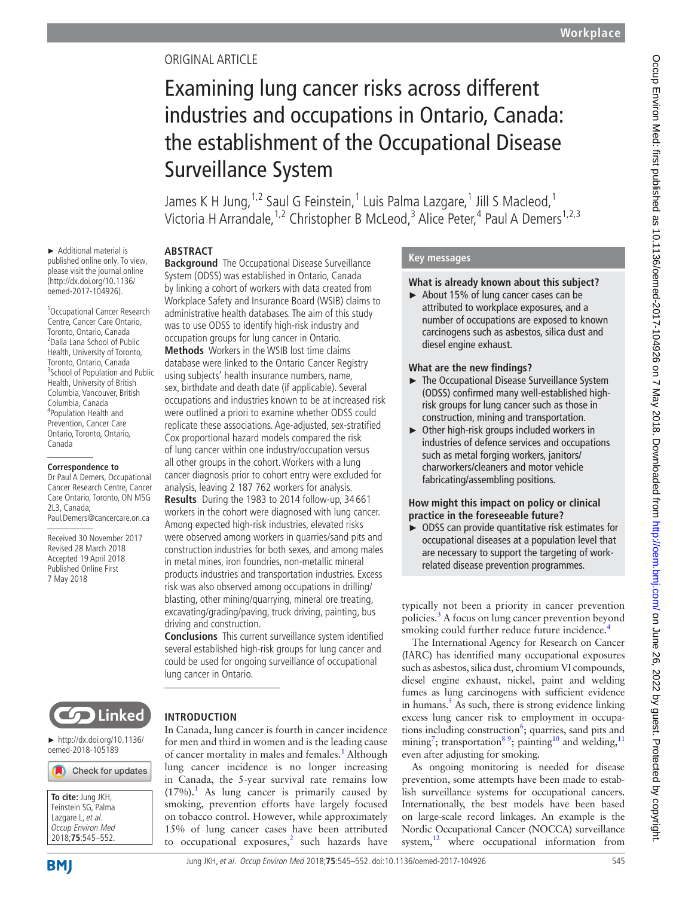## Original article

# Examining lung cancer risks across different industries and occupations in Ontario, Canada: the establishment of the Occupational Disease Surveillance System

James K H Jung, <sup>1,2</sup> Saul G Feinstein, <sup>1</sup> Luis Palma Lazgare, <sup>1</sup> Jill S Macleod, <sup>1</sup> Victoria H Arrandale,<sup>1,2</sup> Christopher B McLeod,<sup>3</sup> Alice Peter,<sup>4</sup> Paul A Demers<sup>1,2,3</sup>

## **Abstract**

► Additional material is published online only. To view, please visit the journal online (http://dx.doi.org/10.1136/ oemed-2017-104926).

1 Occupational Cancer Research Centre, Cancer Care Ontario, Toronto, Ontario, Canada <sup>2</sup> Dalla Lana School of Public Health, University of Toronto, Toronto, Ontario, Canada <sup>3</sup> <sup>3</sup>School of Population and Public Health, University of British Columbia, Vancouver, British Columbia, Canada Population Health and Prevention, Cancer Care Ontario, Toronto, Ontario, Canada

#### **Correspondence to**

Dr Paul A Demers, Occupational Cancer Research Centre, Cancer Care Ontario, Toronto, ON M5G 2L3, Canada; Paul.Demers@cancercare.on.ca

Received 30 November 2017 Revised 28 March 2018 Accepted 19 April 2018 Published Online First 7 May 2018

**Background** The Occupational Disease Surveillance System (ODSS) was established in Ontario, Canada by linking a cohort of workers with data created from Workplace Safety and Insurance Board (WSIB) claims to administrative health databases. The aim of this study was to use ODSS to identify high-risk industry and occupation groups for lung cancer in Ontario. **Methods** Workers in the WSIB lost time claims database were linked to the Ontario Cancer Registry using subjects' health insurance numbers, name, sex, birthdate and death date (if applicable). Several occupations and industries known to be at increased risk were outlined a priori to examine whether ODSS could replicate these associations. Age-adjusted, sex-stratified Cox proportional hazard models compared the risk of lung cancer within one industry/occupation versus all other groups in the cohort. Workers with a lung cancer diagnosis prior to cohort entry were excluded for analysis, leaving 2 187 762 workers for analysis. **Results** During the 1983 to 2014 follow-up, 34 661 workers in the cohort were diagnosed with lung cancer. Among expected high-risk industries, elevated risks were observed among workers in quarries/sand pits and construction industries for both sexes, and among males in metal mines, iron foundries, non-metallic mineral products industries and transportation industries. Excess risk was also observed among occupations in drilling/ blasting, other mining/quarrying, mineral ore treating, excavating/grading/paving, truck driving, painting, bus driving and construction.

**Conclusions** This current surveillance system identified several established high-risk groups for lung cancer and could be used for ongoing surveillance of occupational lung cancer in Ontario.



► http://dx.doi.org/10.1136/ oemed-2018-105189

Check for updates

**To cite:** Jung JKH, Feinstein SG, Palma Lazgare L, et al. Occup Environ Med 2018;**75**:545–552.

## **Introduction**

In Canada, lung cancer is fourth in cancer incidence for men and third in women and is the leading cause of cancer mortality in males and females.<sup>[1](#page-7-0)</sup> Although lung cancer incidence is no longer increasing in Canada, the 5-year survival rate remains low  $(17%)$  $(17%)$  $(17%)$ .<sup>1</sup> As lung cancer is primarily caused by smoking, prevention efforts have largely focused on tobacco control. However, while approximately 15% of lung cancer cases have been attributed to occupational exposures, $<sup>2</sup>$  $<sup>2</sup>$  $<sup>2</sup>$  such hazards have</sup>

#### **Key messages**

#### **What is already known about this subject?**

► About 15% of lung cancer cases can be attributed to workplace exposures, and a number of occupations are exposed to known carcinogens such as asbestos, silica dust and diesel engine exhaust.

#### **What are the new findings?**

- ► The Occupational Disease Surveillance System (ODSS) confirmed many well-established highrisk groups for lung cancer such as those in construction, mining and transportation.
- ► Other high-risk groups included workers in industries of defence services and occupations such as metal forging workers, janitors/ charworkers/cleaners and motor vehicle fabricating/assembling positions.

#### **How might this impact on policy or clinical practice in the foreseeable future?**

► ODSS can provide quantitative risk estimates for occupational diseases at a population level that are necessary to support the targeting of workrelated disease prevention programmes.

typically not been a priority in cancer prevention policies.<sup>3</sup> A focus on lung cancer prevention beyond smoking could further reduce future incidence.<sup>4</sup>

The International Agency for Research on Cancer (IARC) has identified many occupational exposures such as asbestos, silica dust, chromium VI compounds, diesel engine exhaust, nickel, paint and welding fumes as lung carcinogens with sufficient evidence in humans.<sup>5</sup> As such, there is strong evidence linking excess lung cancer risk to employment in occupations including construction<sup>6</sup>; quarries, sand pits and mining<sup>[7](#page-7-6)</sup>; transportation<sup>8</sup>, painting<sup>[10](#page-7-8)</sup> and welding,<sup>[11](#page-7-9)</sup> even after adjusting for smoking.

As ongoing monitoring is needed for disease prevention, some attempts have been made to establish surveillance systems for occupational cancers. Internationally, the best models have been based on large-scale record linkages. An example is the Nordic Occupational Cancer (NOCCA) surveillance system, $12$  where occupational information from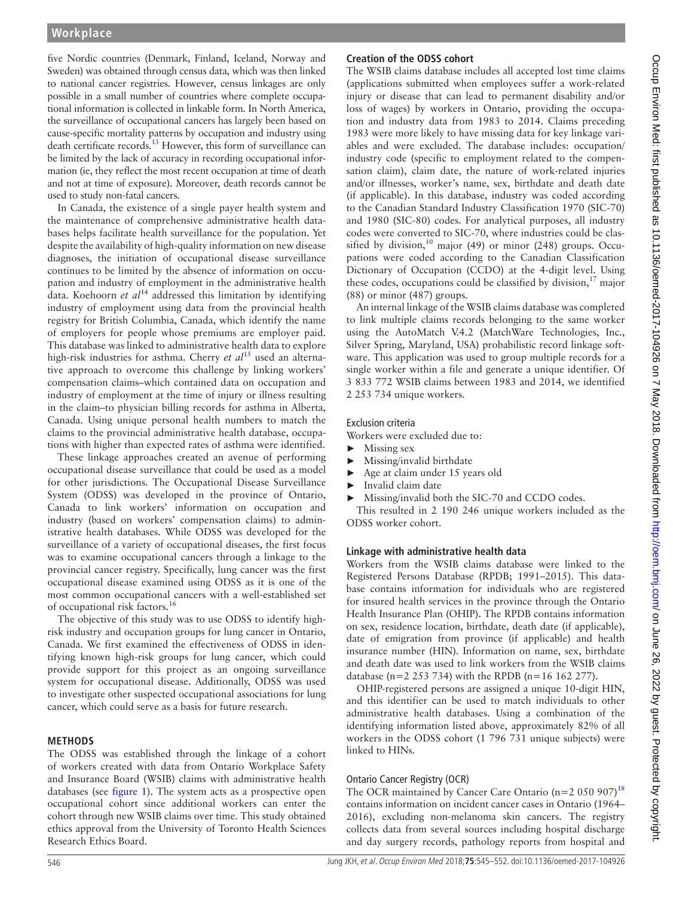five Nordic countries (Denmark, Finland, Iceland, Norway and Sweden) was obtained through census data, which was then linked to national cancer registries. However, census linkages are only possible in a small number of countries where complete occupational information is collected in linkable form. In North America, the surveillance of occupational cancers has largely been based on cause-specific mortality patterns by occupation and industry using death certificate records.<sup>13</sup> However, this form of surveillance can be limited by the lack of accuracy in recording occupational information (ie, they reflect the most recent occupation at time of death and not at time of exposure). Moreover, death records cannot be used to study non-fatal cancers.

In Canada, the existence of a single payer health system and the maintenance of comprehensive administrative health databases helps facilitate health surveillance for the population. Yet despite the availability of high-quality information on new disease diagnoses, the initiation of occupational disease surveillance continues to be limited by the absence of information on occupation and industry of employment in the administrative health data. Koehoorn *et al*<sup>[14](#page-7-12)</sup> addressed this limitation by identifying industry of employment using data from the provincial health registry for British Columbia, Canada, which identify the name of employers for people whose premiums are employer paid. This database was linked to administrative health data to explore high-risk industries for asthma. Cherry *et al*<sup>[15](#page-7-13)</sup> used an alternative approach to overcome this challenge by linking workers' compensation claims–which contained data on occupation and industry of employment at the time of injury or illness resulting in the claim–to physician billing records for asthma in Alberta, Canada. Using unique personal health numbers to match the claims to the provincial administrative health database, occupations with higher than expected rates of asthma were identified.

These linkage approaches created an avenue of performing occupational disease surveillance that could be used as a model for other jurisdictions. The Occupational Disease Surveillance System (ODSS) was developed in the province of Ontario, Canada to link workers' information on occupation and industry (based on workers' compensation claims) to administrative health databases. While ODSS was developed for the surveillance of a variety of occupational diseases, the first focus was to examine occupational cancers through a linkage to the provincial cancer registry. Specifically, lung cancer was the first occupational disease examined using ODSS as it is one of the most common occupational cancers with a well-established set of occupational risk factors[.16](#page-7-14)

The objective of this study was to use ODSS to identify highrisk industry and occupation groups for lung cancer in Ontario, Canada. We first examined the effectiveness of ODSS in identifying known high-risk groups for lung cancer, which could provide support for this project as an ongoing surveillance system for occupational disease. Additionally, ODSS was used to investigate other suspected occupational associations for lung cancer, which could serve as a basis for future research.

# **Methods**

The ODSS was established through the linkage of a cohort of workers created with data from Ontario Workplace Safety and Insurance Board (WSIB) claims with administrative health databases (see [figure](#page-2-0) 1). The system acts as a prospective open occupational cohort since additional workers can enter the cohort through new WSIB claims over time. This study obtained ethics approval from the University of Toronto Health Sciences Research Ethics Board.

# **Creation of the ODSS cohort**

The WSIB claims database includes all accepted lost time claims (applications submitted when employees suffer a work-related injury or disease that can lead to permanent disability and/or loss of wages) by workers in Ontario, providing the occupation and industry data from 1983 to 2014. Claims preceding 1983 were more likely to have missing data for key linkage variables and were excluded. The database includes: occupation/ industry code (specific to employment related to the compensation claim), claim date, the nature of work-related injuries and/or illnesses, worker's name, sex, birthdate and death date (if applicable). In this database, industry was coded according to the Canadian Standard Industry Classification 1970 (SIC-70) and 1980 (SIC-80) codes. For analytical purposes, all industry codes were converted to SIC-70, where industries could be classified by division, $10$  major (49) or minor (248) groups. Occupations were coded according to the Canadian Classification Dictionary of Occupation (CCDO) at the 4-digit level. Using these codes, occupations could be classified by division, $^{17}$  $^{17}$  $^{17}$  major (88) or minor (487) groups.

An internal linkage of the WSIB claims database was completed to link multiple claims records belonging to the same worker using the AutoMatch V.4.2 (MatchWare Technologies, Inc., Silver Spring, Maryland, USA) probabilistic record linkage software. This application was used to group multiple records for a single worker within a file and generate a unique identifier. Of 3 833 772 WSIB claims between 1983 and 2014, we identified 2 253 734 unique workers.

## Exclusion criteria

Workers were excluded due to:

- Missing sex
- Missing/invalid birthdate
- Age at claim under 15 years old
- Invalid claim date
- ► Missing/invalid both the SIC-70 and CCDO codes. This resulted in 2 190 246 unique workers included as the ODSS worker cohort.

## **Linkage with administrative health data**

Workers from the WSIB claims database were linked to the Registered Persons Database (RPDB; 1991–2015). This database contains information for individuals who are registered for insured health services in the province through the Ontario Health Insurance Plan (OHIP). The RPDB contains information on sex, residence location, birthdate, death date (if applicable), date of emigration from province (if applicable) and health insurance number (HIN). Information on name, sex, birthdate and death date was used to link workers from the WSIB claims database (n=2 253 734) with the RPDB (n=16 162 277).

OHIP-registered persons are assigned a unique 10-digit HIN, and this identifier can be used to match individuals to other administrative health databases. Using a combination of the identifying information listed above, approximately 82% of all workers in the ODSS cohort (1 796 731 unique subjects) were linked to HINs.

## Ontario Cancer Registry (OCR)

The OCR maintained by Cancer Care Ontario ( $n=2$  050 907)<sup>[18](#page-7-16)</sup> contains information on incident cancer cases in Ontario (1964– 2016), excluding non-melanoma skin cancers. The registry collects data from several sources including hospital discharge and day surgery records, pathology reports from hospital and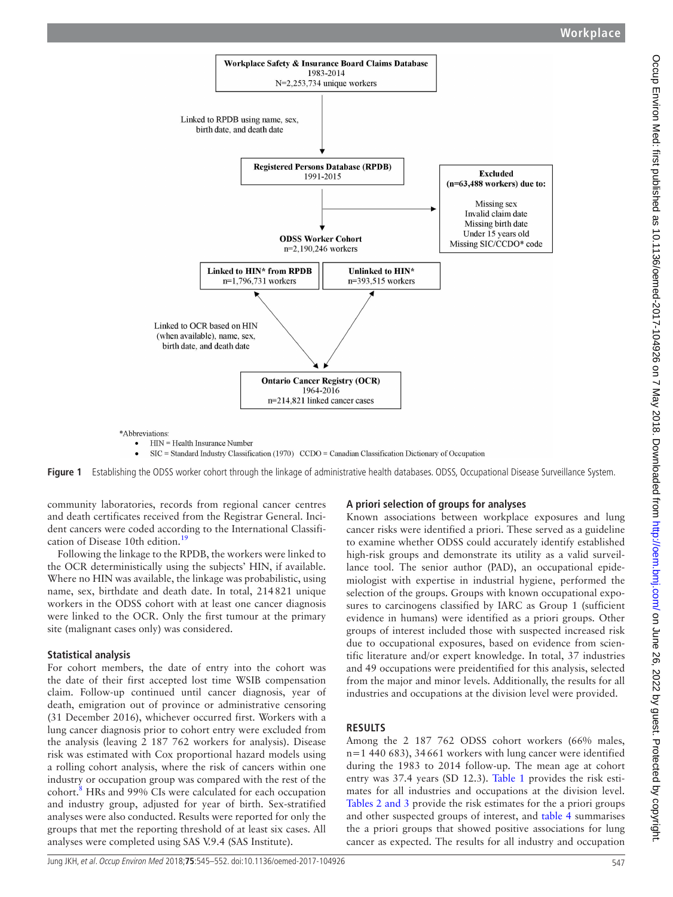

<span id="page-2-0"></span>Figure 1 Establishing the ODSS worker cohort through the linkage of administrative health databases. ODSS, Occupational Disease Surveillance System.

community laboratories, records from regional cancer centres and death certificates received from the Registrar General. Incident cancers were coded according to the International Classifi-cation of Disease 10th edition.<sup>[19](#page-7-17)</sup>

Following the linkage to the RPDB, the workers were linked to the OCR deterministically using the subjects' HIN, if available. Where no HIN was available, the linkage was probabilistic, using name, sex, birthdate and death date. In total, 214821 unique workers in the ODSS cohort with at least one cancer diagnosis were linked to the OCR. Only the first tumour at the primary site (malignant cases only) was considered.

#### **Statistical analysis**

For cohort members, the date of entry into the cohort was the date of their first accepted lost time WSIB compensation claim. Follow-up continued until cancer diagnosis, year of death, emigration out of province or administrative censoring (31 December 2016), whichever occurred first. Workers with a lung cancer diagnosis prior to cohort entry were excluded from the analysis (leaving 2 187 762 workers for analysis). Disease risk was estimated with Cox proportional hazard models using a rolling cohort analysis, where the risk of cancers within one industry or occupation group was compared with the rest of the cohort.<sup>[8](#page-7-7)</sup> HRs and 99% CIs were calculated for each occupation and industry group, adjusted for year of birth. Sex-stratified analyses were also conducted. Results were reported for only the groups that met the reporting threshold of at least six cases. All analyses were completed using SAS V.9.4 (SAS Institute).

#### **A priori selection of groups for analyses**

Known associations between workplace exposures and lung cancer risks were identified a priori. These served as a guideline to examine whether ODSS could accurately identify established high-risk groups and demonstrate its utility as a valid surveillance tool. The senior author (PAD), an occupational epidemiologist with expertise in industrial hygiene, performed the selection of the groups. Groups with known occupational exposures to carcinogens classified by IARC as Group 1 (sufficient evidence in humans) were identified as a priori groups. Other groups of interest included those with suspected increased risk due to occupational exposures, based on evidence from scientific literature and/or expert knowledge. In total, 37 industries and 49 occupations were preidentified for this analysis, selected from the major and minor levels. Additionally, the results for all industries and occupations at the division level were provided.

#### **Results**

Among the 2 187 762 ODSS cohort workers (66% males, n=1 440 683), 34661 workers with lung cancer were identified during the 1983 to 2014 follow-up. The mean age at cohort entry was 37.4 years (SD 12.3). [Table](#page-3-0) 1 provides the risk estimates for all industries and occupations at the division level. Tables [2 and 3](#page-3-1) provide the risk estimates for the a priori groups and other suspected groups of interest, and [table](#page-5-0) 4 summarises the a priori groups that showed positive associations for lung cancer as expected. The results for all industry and occupation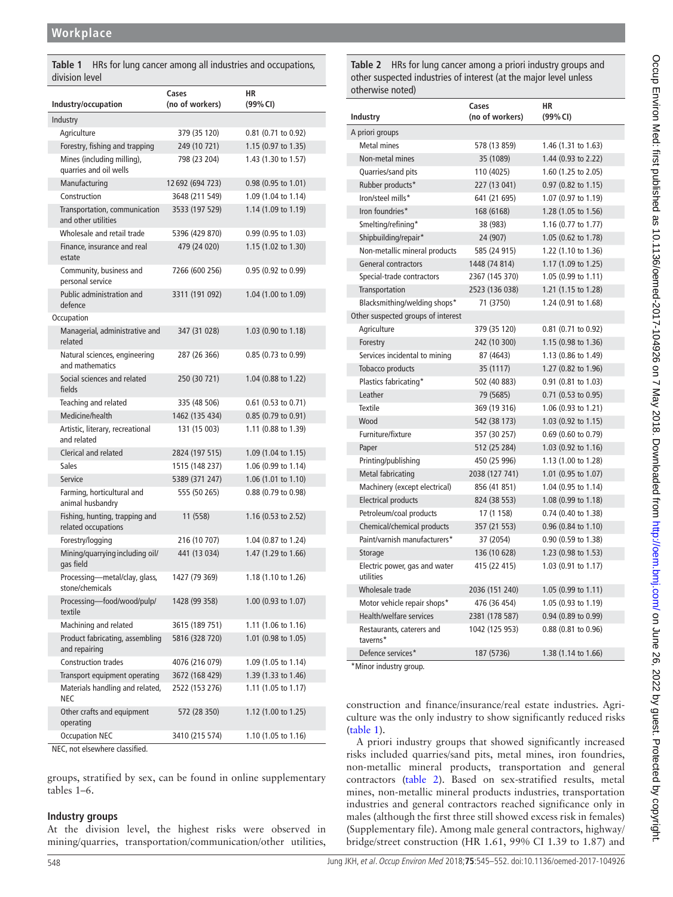<span id="page-3-0"></span>

|                | Table 1 HRs for lung cancer among all industries and occupations, |  |  |  |  |
|----------------|-------------------------------------------------------------------|--|--|--|--|
| division level |                                                                   |  |  |  |  |

|          | Industry/occupation                                   | Cases<br>(no of workers) | НR<br>(99% CI)                 |  |  |
|----------|-------------------------------------------------------|--------------------------|--------------------------------|--|--|
| Industry |                                                       |                          |                                |  |  |
|          | Agriculture                                           | 379 (35 120)             | $0.81$ (0.71 to 0.92)          |  |  |
|          | Forestry, fishing and trapping                        | 249 (10 721)             | 1.15 (0.97 to 1.35)            |  |  |
|          | Mines (including milling),<br>quarries and oil wells  | 798 (23 204)             | 1.43 (1.30 to 1.57)            |  |  |
|          | Manufacturing                                         | 12 692 (694 723)         | $0.98(0.95 \text{ to } 1.01)$  |  |  |
|          | Construction                                          | 3648 (211 549)           | 1.09 (1.04 to 1.14)            |  |  |
|          | Transportation, communication<br>and other utilities  | 3533 (197 529)           | 1.14 (1.09 to 1.19)            |  |  |
|          | Wholesale and retail trade                            | 5396 (429 870)           | $0.99$ (0.95 to 1.03)          |  |  |
|          | Finance, insurance and real<br>estate                 | 479 (24 020)             | 1.15 (1.02 to 1.30)            |  |  |
|          | Community, business and<br>personal service           | 7266 (600 256)           | $0.95(0.92 \text{ to } 0.99)$  |  |  |
|          | <b>Public administration and</b><br>defence           | 3311 (191 092)           | 1.04 (1.00 to 1.09)            |  |  |
|          | Occupation                                            |                          |                                |  |  |
|          | Managerial, administrative and<br>related             | 347 (31 028)             | $1.03$ (0.90 to 1.18)          |  |  |
|          | Natural sciences, engineering<br>and mathematics      | 287 (26 366)             | $0.85(0.73)$ to $0.99$         |  |  |
|          | Social sciences and related<br><b>Shleit</b>          | 250 (30 721)             | 1.04 (0.88 to 1.22)            |  |  |
|          | Teaching and related                                  | 335 (48 506)             | $0.61$ (0.53 to 0.71)          |  |  |
|          | Medicine/health                                       | 1462 (135 434)           | 0.85 (0.79 to 0.91)            |  |  |
|          | Artistic, literary, recreational<br>and related       | 131 (15 003)             | 1.11 (0.88 to 1.39)            |  |  |
|          | <b>Clerical and related</b>                           | 2824 (197 515)           | $1.09(1.04 \text{ to } 1.15)$  |  |  |
|          | Sales                                                 | 1515 (148 237)           | 1.06 (0.99 to 1.14)            |  |  |
|          | Service                                               | 5389 (371 247)           | 1.06 (1.01 to 1.10)            |  |  |
|          | Farming, horticultural and<br>animal husbandry        | 555 (50 265)             | 0.88 (0.79 to 0.98)            |  |  |
|          | Fishing, hunting, trapping and<br>related occupations | 11 (558)                 | 1.16 $(0.53$ to 2.52)          |  |  |
|          | Forestry/logging                                      | 216 (10 707)             | 1.04 (0.87 to 1.24)            |  |  |
|          | Mining/quarrying including oil/<br>gas field          | 441 (13 034)             | 1.47 (1.29 to 1.66)            |  |  |
|          | Processing-metal/clay, glass,<br>stone/chemicals      | 1427 (79 369)            | 1.18 (1.10 to 1.26)            |  |  |
|          | Processing-food/wood/pulp/<br>textile                 | 1428 (99 358)            | $1.00$ (0.93 to 1.07)          |  |  |
|          | Machining and related                                 | 3615 (189 751)           | 1.11 (1.06 to 1.16)            |  |  |
|          | Product fabricating, assembling<br>and repairing      | 5816 (328 720)           | 1.01 (0.98 to 1.05)            |  |  |
|          | <b>Construction trades</b>                            | 4076 (216 079)           | 1.09 (1.05 to 1.14)            |  |  |
|          | Transport equipment operating                         | 3672 (168 429)           | 1.39 (1.33 to 1.46)            |  |  |
|          | Materials handling and related,<br>NEC                | 2522 (153 276)           | 1.11 $(1.05 \text{ to } 1.17)$ |  |  |
|          | Other crafts and equipment<br>operating               | 572 (28 350)             | 1.12 $(1.00 \text{ to } 1.25)$ |  |  |
|          | <b>Occupation NEC</b>                                 | 3410 (215 574)           | 1.10 $(1.05 \text{ to } 1.16)$ |  |  |

NEC, not elsewhere classified.

groups, stratified by sex, can be found in online [supplementary](https://dx.doi.org/10.1136/oemed-2017-104926)  [tables 1–6.](https://dx.doi.org/10.1136/oemed-2017-104926)

#### **Industry groups**

At the division level, the highest risks were observed in mining/quarries, transportation/communication/other utilities,

<span id="page-3-1"></span>**Table 2** HRs for lung cancer among a priori industry groups and other suspected industries of interest (at the major level unless otherwise noted)

| Industry                                          | Cases<br>(no of workers) | НR<br>(99% CI)                |
|---------------------------------------------------|--------------------------|-------------------------------|
| A priori groups                                   |                          |                               |
| <b>Metal mines</b>                                | 578 (13 859)             | 1.46 (1.31 to 1.63)           |
| Non-metal mines                                   | 35 (1089)                | 1.44 (0.93 to 2.22)           |
| Quarries/sand pits                                | 110 (4025)               | 1.60 (1.25 to 2.05)           |
| Rubber products*                                  | 227 (13 041)             | 0.97 (0.82 to 1.15)           |
| Iron/steel mills*                                 | 641 (21 695)             | 1.07 (0.97 to 1.19)           |
| Iron foundries*                                   | 168 (6168)               | 1.28 (1.05 to 1.56)           |
| Smelting/refining*                                | 38 (983)                 | 1.16 (0.77 to 1.77)           |
| Shipbuilding/repair*                              | 24 (907)                 | 1.05 (0.62 to 1.78)           |
| Non-metallic mineral products                     | 585 (24 915)             | 1.22 (1.10 to 1.36)           |
| General contractors                               | 1448 (74 814)            | 1.17 (1.09 to 1.25)           |
| Special-trade contractors                         | 2367 (145 370)           | 1.05 (0.99 to 1.11)           |
| Transportation                                    | 2523 (136 038)           | 1.21 (1.15 to 1.28)           |
| Blacksmithing/welding shops*                      | 71 (3750)                | 1.24 (0.91 to 1.68)           |
| Other suspected groups of interest                |                          |                               |
| Agriculture                                       | 379 (35 120)             | 0.81 (0.71 to 0.92)           |
| Forestry                                          | 242 (10 300)             | 1.15 (0.98 to 1.36)           |
| Services incidental to mining                     | 87 (4643)                | $1.13(0.86 \text{ to } 1.49)$ |
| Tobacco products                                  | 35 (1117)                | 1.27 (0.82 to 1.96)           |
| Plastics fabricating*                             | 502 (40 883)             | 0.91 (0.81 to 1.03)           |
| Leather                                           | 79 (5685)                | $0.71$ (0.53 to 0.95)         |
| <b>Textile</b>                                    | 369 (19 316)             | 1.06 (0.93 to 1.21)           |
| Wood                                              | 542 (38 173)             | 1.03 (0.92 to 1.15)           |
| Furniture/fixture                                 | 357 (30 257)             | $0.69$ (0.60 to 0.79)         |
| Paper                                             | 512 (25 284)             | 1.03 (0.92 to 1.16)           |
| Printing/publishing                               | 450 (25 996)             | 1.13 (1.00 to 1.28)           |
| Metal fabricating                                 | 2038 (127 741)           | 1.01 (0.95 to 1.07)           |
| Machinery (except electrical)                     | 856 (41 851)             | 1.04 (0.95 to 1.14)           |
| <b>Electrical products</b>                        | 824 (38 553)             | 1.08 (0.99 to 1.18)           |
| Petroleum/coal products                           | 17 (1 158)               | 0.74 (0.40 to 1.38)           |
| Chemical/chemical products                        | 357 (21 553)             | 0.96 (0.84 to 1.10)           |
| Paint/varnish manufacturers*                      | 37 (2054)                | $0.90$ (0.59 to 1.38)         |
| Storage                                           | 136 (10 628)             | 1.23 (0.98 to 1.53)           |
| Electric power, gas and water<br>utilities        | 415 (22 415)             | 1.03 (0.91 to 1.17)           |
| Wholesale trade                                   | 2036 (151 240)           | 1.05 (0.99 to 1.11)           |
| Motor vehicle repair shops*                       | 476 (36 454)             | 1.05 (0.93 to 1.19)           |
| <b>Health/welfare services</b>                    | 2381 (178 587)           | 0.94 (0.89 to 0.99)           |
| Restaurants, caterers and<br>taverns <sup>*</sup> | 1042 (125 953)           | 0.88 (0.81 to 0.96)           |
| Defence services*                                 | 187 (5736)               | 1.38 (1.14 to 1.66)           |

\*Minor industry group.

construction and finance/insurance/real estate industries. Agriculture was the only industry to show significantly reduced risks ([table](#page-3-0) 1).

A priori industry groups that showed significantly increased risks included quarries/sand pits, metal mines, iron foundries, non-metallic mineral products, transportation and general contractors ([table](#page-3-1) 2). Based on sex-stratified results, metal mines, non-metallic mineral products industries, transportation industries and general contractors reached significance only in males (although the first three still showed excess risk in females) (Supplementary file). Among male general contractors, highway/ bridge/street construction (HR 1.61, 99% CI 1.39 to 1.87) and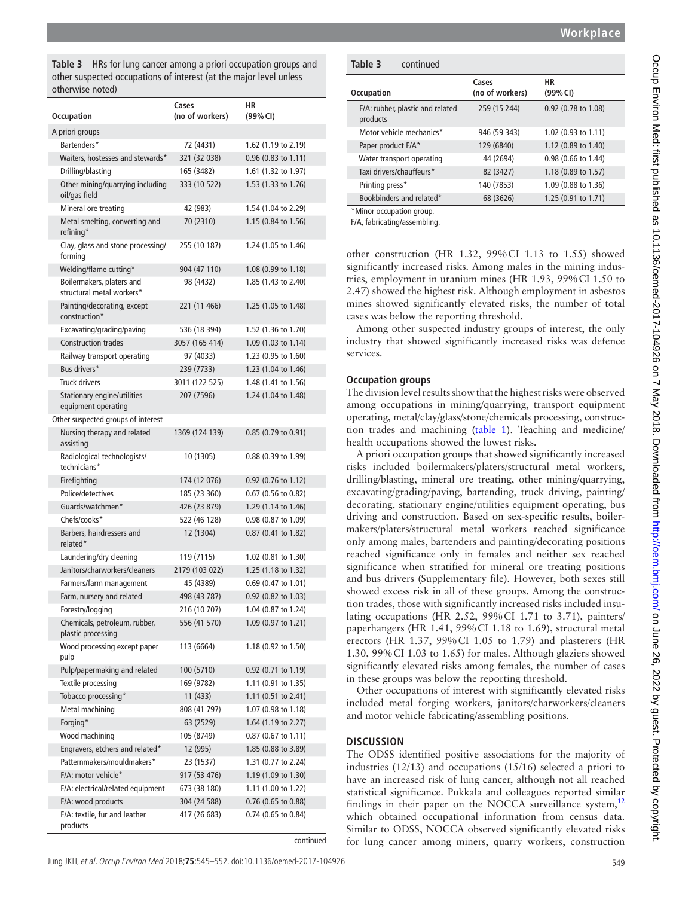**Table 3** HRs for lung cancer among a priori occupation groups and other suspected occupations of interest (at the major level unless otherwise noted)

| <b>Occupation</b>                                      | Cases<br>(no of workers) | НR<br>(99% CI)                |  |  |  |
|--------------------------------------------------------|--------------------------|-------------------------------|--|--|--|
| A priori groups                                        |                          |                               |  |  |  |
| Bartenders*                                            | 72 (4431)                | 1.62 (1.19 to 2.19)           |  |  |  |
| Waiters, hostesses and stewards*                       | 321 (32 038)             | $0.96$ (0.83 to 1.11)         |  |  |  |
| Drilling/blasting                                      | 165 (3482)               | 1.61 (1.32 to 1.97)           |  |  |  |
| Other mining/quarrying including<br>oil/gas field      | 333 (10 522)             | 1.53 (1.33 to 1.76)           |  |  |  |
| Mineral ore treating                                   | 42 (983)                 | 1.54 (1.04 to 2.29)           |  |  |  |
| Metal smelting, converting and<br>refining*            | 70 (2310)                | 1.15 (0.84 to 1.56)           |  |  |  |
| Clay, glass and stone processing/<br>forming           | 255 (10 187)             | 1.24 (1.05 to 1.46)           |  |  |  |
| Welding/flame cutting*                                 | 904 (47 110)             | $1.08(0.99 \text{ to } 1.18)$ |  |  |  |
| Boilermakers, platers and<br>structural metal workers* | 98 (4432)                | 1.85 (1.43 to 2.40)           |  |  |  |
| Painting/decorating, except<br>construction*           | 221 (11 466)             | 1.25 (1.05 to 1.48)           |  |  |  |
| Excavating/grading/paving                              | 536 (18 394)             | 1.52 (1.36 to 1.70)           |  |  |  |
| <b>Construction trades</b>                             | 3057 (165 414)           | 1.09 (1.03 to 1.14)           |  |  |  |
| Railway transport operating                            | 97 (4033)                | 1.23 (0.95 to 1.60)           |  |  |  |
| Bus drivers*                                           | 239 (7733)               | 1.23 (1.04 to 1.46)           |  |  |  |
| <b>Truck drivers</b>                                   | 3011 (122 525)           | 1.48 (1.41 to 1.56)           |  |  |  |
| Stationary engine/utilities<br>equipment operating     | 207 (7596)               | 1.24 (1.04 to 1.48)           |  |  |  |
| Other suspected groups of interest                     |                          |                               |  |  |  |
| Nursing therapy and related<br>assisting               | 1369 (124 139)           | $0.85(0.79 \text{ to } 0.91)$ |  |  |  |
| Radiological technologists/<br>technicians*            | 10 (1305)                | $0.88$ (0.39 to 1.99)         |  |  |  |
| Firefighting                                           | 174 (12 076)             | $0.92$ (0.76 to 1.12)         |  |  |  |
| Police/detectives                                      | 185 (23 360)             | $0.67$ (0.56 to 0.82)         |  |  |  |
| Guards/watchmen*                                       | 426 (23 879)             | 1.29 (1.14 to 1.46)           |  |  |  |
| Chefs/cooks*                                           | 522 (46 128)             | $0.98$ (0.87 to 1.09)         |  |  |  |
| Barbers, hairdressers and<br>related*                  | 12 (1304)                | 0.87 (0.41 to 1.82)           |  |  |  |
| Laundering/dry cleaning                                | 119 (7115)               | $1.02$ (0.81 to 1.30)         |  |  |  |
| Janitors/charworkers/cleaners                          | 2179 (103 022)           | 1.25 (1.18 to 1.32)           |  |  |  |
| Farmers/farm management                                | 45 (4389)                | $0.69$ (0.47 to 1.01)         |  |  |  |
| Farm, nursery and related                              | 498 (43 787)             | 0.92 (0.82 to 1.03)           |  |  |  |
| Forestry/logging                                       | 216 (10 707)             | 1.04 (0.87 to 1.24)           |  |  |  |
| Chemicals, petroleum, rubber,<br>plastic processing    | 556 (41 570)             | 1.09 (0.97 to 1.21)           |  |  |  |
| Wood processing except paper<br>pulp                   | 113 (6664)               | 1.18 (0.92 to 1.50)           |  |  |  |
| Pulp/papermaking and related                           | 100 (5710)               | 0.92 (0.71 to 1.19)           |  |  |  |
| Textile processing                                     | 169 (9782)               | 1.11 (0.91 to 1.35)           |  |  |  |
| Tobacco processing*                                    | 11 (433)                 | 1.11 (0.51 to 2.41)           |  |  |  |
| Metal machining                                        | 808 (41 797)             | 1.07 (0.98 to 1.18)           |  |  |  |
| Forging*                                               | 63 (2529)                | 1.64 (1.19 to 2.27)           |  |  |  |
| Wood machining                                         | 105 (8749)               | $0.87$ (0.67 to 1.11)         |  |  |  |
| Engravers, etchers and related*                        | 12 (995)                 | 1.85 (0.88 to 3.89)           |  |  |  |
| Patternmakers/mouldmakers*                             | 23 (1537)                | 1.31 (0.77 to 2.24)           |  |  |  |
| F/A: motor vehicle*                                    | 917 (53 476)             | 1.19 (1.09 to 1.30)           |  |  |  |
| F/A: electrical/related equipment                      | 673 (38 180)             | 1.11 (1.00 to 1.22)           |  |  |  |
| F/A: wood products                                     | 304 (24 588)             | 0.76 (0.65 to 0.88)           |  |  |  |
| F/A: textile, fur and leather<br>products              | 417 (26 683)             | $0.74$ (0.65 to 0.84)         |  |  |  |

continued

#### **Occupation Cases (no of workers) HR (99%CI)** F/A: rubber, plastic and related products 259 (15 244) 0.92 (0.78 to 1.08) Motor vehicle mechanics\* 946 (59 343) 1.02 (0.93 to 1.11) Paper product F/A\* 129 (6840) 1.12 (0.89 to 1.40) Water transport operating 44 (2694) 0.98 (0.66 to 1.44) Taxi drivers/chauffeurs\* 82 (3427) 1.18 (0.89 to 1.57) Printing press\* 140 (7853) 1.09 (0.88 to 1.36) Bookbinders and related\* 68 (3626) 1.25 (0.91 to 1.71) \*Minor occupation group. **Table 3** continued

F/A, fabricating/assembling.

other construction (HR 1.32, 99%CI 1.13 to 1.55) showed significantly increased risks. Among males in the mining industries, employment in uranium mines (HR 1.93, 99%CI 1.50 to 2.47) showed the highest risk. Although employment in asbestos mines showed significantly elevated risks, the number of total cases was below the reporting threshold.

Among other suspected industry groups of interest, the only industry that showed significantly increased risks was defence services.

## **Occupation groups**

The division level results show that the highest risks were observed among occupations in mining/quarrying, transport equipment operating, metal/clay/glass/stone/chemicals processing, construction trades and machining ([table](#page-3-0) 1). Teaching and medicine/ health occupations showed the lowest risks.

A priori occupation groups that showed significantly increased risks included boilermakers/platers/structural metal workers, drilling/blasting, mineral ore treating, other mining/quarrying, excavating/grading/paving, bartending, truck driving, painting/ decorating, stationary engine/utilities equipment operating, bus driving and construction. Based on sex-specific results, boilermakers/platers/structural metal workers reached significance only among males, bartenders and painting/decorating positions reached significance only in females and neither sex reached significance when stratified for mineral ore treating positions and bus drivers (Supplementary file). However, both sexes still showed excess risk in all of these groups. Among the construction trades, those with significantly increased risks included insulating occupations (HR 2.52, 99%CI 1.71 to 3.71), painters/ paperhangers (HR 1.41, 99%CI 1.18 to 1.69), structural metal erectors (HR 1.37, 99%CI 1.05 to 1.79) and plasterers (HR 1.30, 99%CI 1.03 to 1.65) for males. Although glaziers showed significantly elevated risks among females, the number of cases in these groups was below the reporting threshold.

Other occupations of interest with significantly elevated risks included metal forging workers, janitors/charworkers/cleaners and motor vehicle fabricating/assembling positions.

## **Discussion**

The ODSS identified positive associations for the majority of industries (12/13) and occupations (15/16) selected a priori to have an increased risk of lung cancer, although not all reached statistical significance. Pukkala and colleagues reported similar findings in their paper on the NOCCA surveillance system, $^{12}$  $^{12}$  $^{12}$ which obtained occupational information from census data. Similar to ODSS, NOCCA observed significantly elevated risks for lung cancer among miners, quarry workers, construction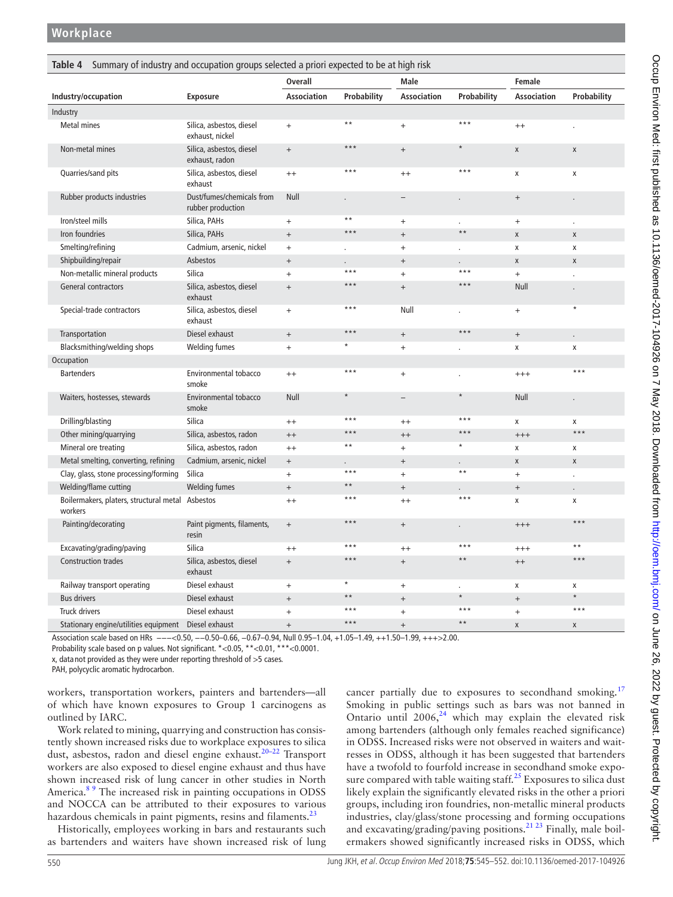<span id="page-5-0"></span>

| Summary of industry and occupation groups selected a priori expected to be at high risk<br>Table 4 |                                                |                    |                 |                                  |                      |                                  |                      |
|----------------------------------------------------------------------------------------------------|------------------------------------------------|--------------------|-----------------|----------------------------------|----------------------|----------------------------------|----------------------|
|                                                                                                    | <b>Overall</b>                                 |                    | <b>Male</b>     |                                  | Female               |                                  |                      |
| Industry/occupation                                                                                | <b>Exposure</b>                                | <b>Association</b> | Probability     | <b>Association</b>               | Probability          | Association                      | Probability          |
| Industry                                                                                           |                                                |                    |                 |                                  |                      |                                  |                      |
| Metal mines                                                                                        | Silica, asbestos, diesel<br>exhaust, nickel    | $+$                | $\star\star$    | $+$                              | $* * *$              | $^{++}$                          |                      |
| Non-metal mines                                                                                    | Silica, asbestos, diesel<br>exhaust, radon     | $^+$               | $* * *$         | $\qquad \qquad +$                | $\star$              | $\mathsf X$                      | $\mathsf X$          |
| Quarries/sand pits                                                                                 | Silica, asbestos, diesel<br>exhaust            | $^{++}$            | $***$           | $^{++}$                          | $***$                | X                                | X                    |
| Rubber products industries                                                                         | Dust/fumes/chemicals from<br>rubber production | Null               |                 |                                  |                      | $\qquad \qquad +$                |                      |
| Iron/steel mills                                                                                   | Silica, PAHs                                   | $+$                | $* *$           | $^{+}$                           |                      | $\begin{array}{c} + \end{array}$ |                      |
| Iron foundries                                                                                     | Silica, PAHs                                   | $\ddot{}$          | $***$           | $\! +$                           | $* *$                | $\mathsf X$                      | $\mathsf X$          |
| Smelting/refining                                                                                  | Cadmium, arsenic, nickel                       | $\ddot{}$          |                 | $\ddot{}$                        |                      | Χ                                | Χ                    |
| Shipbuilding/repair                                                                                | Asbestos                                       | $\! + \!\!\!\!$    |                 | $+$                              |                      | $\pmb{\chi}$                     | X                    |
| Non-metallic mineral products                                                                      | Silica                                         | $\ddot{}$          | $***$           | $+$                              | ***                  | $\ddot{}$                        |                      |
| <b>General contractors</b>                                                                         | Silica, asbestos, diesel<br>exhaust            | $+$                | $***$           | $+$                              | $* * *$              | Null                             |                      |
| Special-trade contractors                                                                          | Silica, asbestos, diesel<br>exhaust            | $+$                | $***$           | Null                             |                      | $\ddot{}$                        | $\star$              |
| Transportation                                                                                     | Diesel exhaust                                 | $^{+}$             | $***$           | $^{+}$                           | $***$                | $\qquad \qquad +$                |                      |
| Blacksmithing/welding shops                                                                        | <b>Welding fumes</b>                           | $+$                | $\star$         | $\ddot{}$                        |                      | X                                | X                    |
| Occupation                                                                                         |                                                |                    |                 |                                  |                      |                                  |                      |
| <b>Bartenders</b>                                                                                  | Environmental tobacco<br>smoke                 | $^{++}$            | $***$           | $\begin{array}{c} + \end{array}$ |                      | $^{+++}$                         | $***$                |
| Waiters, hostesses, stewards                                                                       | Environmental tobacco<br>smoke                 | Null               | $\star$         | $\overline{\phantom{0}}$         | $\star$              | Null                             | $\cdot$              |
| Drilling/blasting                                                                                  | Silica                                         | $^{++}$            | $***$           | $^{++}$                          | $***$                | X                                | X                    |
| Other mining/quarrying                                                                             | Silica, asbestos, radon                        | $^{++}$            | $***$           | $^{++}$                          | $***$                | $^{+++}$                         | $***$                |
| Mineral ore treating                                                                               | Silica, asbestos, radon                        | $^{++}$            | $\star\star$    | $^{+}$                           | $\star$              | X                                | X                    |
| Metal smelting, converting, refining                                                               | Cadmium, arsenic, nickel                       | $+$                |                 | $+$                              | $\mathbf{r}$         | $\mathsf{X}$                     | X                    |
| Clay, glass, stone processing/forming                                                              | Silica                                         | $+$                | ***             | $^{+}$                           | $* *$                | $\ddot{}$                        | $\cdot$              |
| Welding/flame cutting                                                                              | <b>Welding fumes</b>                           | $^{+}$             | $\star$ $\star$ | $^{+}$                           |                      | $\qquad \qquad +$                | $\ddot{\phantom{a}}$ |
| Boilermakers, platers, structural metal Asbestos<br>workers                                        |                                                | $^{++}$            | $***$           | $^{++}$                          | $* * *$              | X                                | X                    |
| Painting/decorating                                                                                | Paint pigments, filaments,<br>resin            | $^{+}$             | $***$           | $\qquad \qquad +$                | $\ddot{\phantom{a}}$ | $^{+++}$                         | ***                  |
| Excavating/grading/paving                                                                          | Silica                                         | $^{++}$            | ***             | $^{++}$                          | $* * *$              | $^{+++}$                         | $* *$                |
| <b>Construction trades</b>                                                                         | Silica, asbestos, diesel<br>exhaust            | $\qquad \qquad +$  | $* * *$         | $\qquad \qquad +$                | $* *$                | $^{++}$                          | $***$                |
| Railway transport operating                                                                        | Diesel exhaust                                 | $^{+}$             | $\star$         | $\begin{array}{c} + \end{array}$ |                      | X                                | X                    |
| <b>Bus drivers</b>                                                                                 | Diesel exhaust                                 | $\ddot{}$          | $* *$           | $\! +$                           | $\star$              | $\qquad \qquad +$                | $\star$              |
| Truck drivers                                                                                      | Diesel exhaust                                 | $\ddot{}$          | ***             | $\ddot{}$                        | $* * *$              | $+$                              | ***                  |
| Stationary engine/utilities equipment                                                              | Diesel exhaust                                 | $+$                | $***$           | $+$                              | $* *$                | $\mathsf{x}$                     | X                    |

Association scale based on HRs −−−<0.50, −−0.50–0.66, −0.67–0.94, Null 0.95–1.04, +1.05–1.49, ++1.50–1.99, +++>2.00.

Probability scale based on p values. Not significant. \*< 0.05, \*\* < 0.01, \*\*\* < 0.0001.

x, data not provided as they were under reporting threshold of >5 cases.

PAH, polycyclic aromatic hydrocarbon.

workers, transportation workers, painters and bartenders—all of which have known exposures to Group 1 carcinogens as outlined by IARC.

Work related to mining, quarrying and construction has consistently shown increased risks due to workplace exposures to silica dust, asbestos, radon and diesel engine exhaust.<sup>20–22</sup> Transport workers are also exposed to diesel engine exhaust and thus have shown increased risk of lung cancer in other studies in North America.<sup>8 9</sup> The increased risk in painting occupations in ODSS and NOCCA can be attributed to their exposures to various hazardous chemicals in paint pigments, resins and filaments.<sup>[23](#page-7-19)</sup>

Historically, employees working in bars and restaurants such as bartenders and waiters have shown increased risk of lung

cancer partially due to exposures to secondhand smoking.<sup>[17](#page-7-15)</sup> Smoking in public settings such as bars was not banned in Ontario until  $2006$ ,<sup>[24](#page-7-20)</sup> which may explain the elevated risk among bartenders (although only females reached significance) in ODSS. Increased risks were not observed in waiters and waitresses in ODSS, although it has been suggested that bartenders have a twofold to fourfold increase in secondhand smoke exposure compared with table waiting staff. $^{25}$  Exposures to silica dust likely explain the significantly elevated risks in the other a priori groups, including iron foundries, non-metallic mineral products industries, clay/glass/stone processing and forming occupations and excavating/grading/paving positions.<sup>21 23</sup> Finally, male boilermakers showed significantly increased risks in ODSS, which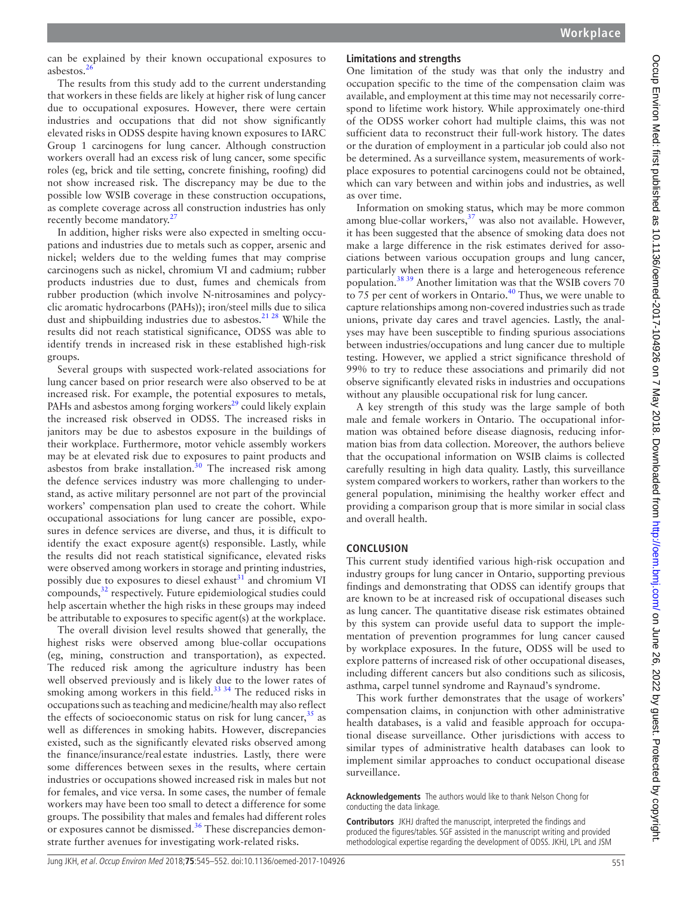can be explained by their known occupational exposures to asbestos.<sup>2</sup>

The results from this study add to the current understanding that workers in these fields are likely at higher risk of lung cancer due to occupational exposures. However, there were certain industries and occupations that did not show significantly elevated risks in ODSS despite having known exposures to IARC Group 1 carcinogens for lung cancer. Although construction workers overall had an excess risk of lung cancer, some specific roles (eg, brick and tile setting, concrete finishing, roofing) did not show increased risk. The discrepancy may be due to the possible low WSIB coverage in these construction occupations, as complete coverage across all construction industries has only recently become mandatory[.27](#page-7-24)

In addition, higher risks were also expected in smelting occupations and industries due to metals such as copper, arsenic and nickel; welders due to the welding fumes that may comprise carcinogens such as nickel, chromium VI and cadmium; rubber products industries due to dust, fumes and chemicals from rubber production (which involve N-nitrosamines and polycyclic aromatic hydrocarbons (PAHs)); iron/steel mills due to silica dust and shipbuilding industries due to asbestos.<sup>21 28</sup> While the results did not reach statistical significance, ODSS was able to identify trends in increased risk in these established high-risk groups.

Several groups with suspected work-related associations for lung cancer based on prior research were also observed to be at increased risk. For example, the potential exposures to metals, PAHs and asbestos among forging workers<sup>[29](#page-7-25)</sup> could likely explain the increased risk observed in ODSS. The increased risks in janitors may be due to asbestos exposure in the buildings of their workplace. Furthermore, motor vehicle assembly workers may be at elevated risk due to exposures to paint products and asbestos from brake installation. $30$  The increased risk among the defence services industry was more challenging to understand, as active military personnel are not part of the provincial workers' compensation plan used to create the cohort. While occupational associations for lung cancer are possible, exposures in defence services are diverse, and thus, it is difficult to identify the exact exposure agent(s) responsible. Lastly, while the results did not reach statistical significance, elevated risks were observed among workers in storage and printing industries, possibly due to exposures to diesel exhaust $31$  and chromium VI compounds,<sup>32</sup> respectively. Future epidemiological studies could help ascertain whether the high risks in these groups may indeed be attributable to exposures to specific agent(s) at the workplace.

The overall division level results showed that generally, the highest risks were observed among blue-collar occupations (eg, mining, construction and transportation), as expected. The reduced risk among the agriculture industry has been well observed previously and is likely due to the lower rates of smoking among workers in this field.<sup>33 34</sup> The reduced risks in occupations such as teaching and medicine/health may also reflect the effects of socioeconomic status on risk for lung cancer,  $35$  as well as differences in smoking habits. However, discrepancies existed, such as the significantly elevated risks observed among the finance/insurance/real estate industries. Lastly, there were some differences between sexes in the results, where certain industries or occupations showed increased risk in males but not for females, and vice versa. In some cases, the number of female workers may have been too small to detect a difference for some groups. The possibility that males and females had different roles or exposures cannot be dismissed[.36](#page-7-31) These discrepancies demonstrate further avenues for investigating work-related risks.

## **Limitations and strengths**

One limitation of the study was that only the industry and occupation specific to the time of the compensation claim was available, and employment at this time may not necessarily correspond to lifetime work history. While approximately one-third of the ODSS worker cohort had multiple claims, this was not sufficient data to reconstruct their full-work history. The dates or the duration of employment in a particular job could also not be determined. As a surveillance system, measurements of workplace exposures to potential carcinogens could not be obtained, which can vary between and within jobs and industries, as well as over time.

Information on smoking status, which may be more common among blue-collar workers,<sup>37</sup> was also not available. However, it has been suggested that the absence of smoking data does not make a large difference in the risk estimates derived for associations between various occupation groups and lung cancer, particularly when there is a large and heterogeneous reference population[.38 39](#page-7-33) Another limitation was that the WSIB covers 70 to  $75$  per cent of workers in Ontario.<sup>[40](#page-7-34)</sup> Thus, we were unable to capture relationships among non-covered industries such as trade unions, private day cares and travel agencies. Lastly, the analyses may have been susceptible to finding spurious associations between industries/occupations and lung cancer due to multiple testing. However, we applied a strict significance threshold of 99% to try to reduce these associations and primarily did not observe significantly elevated risks in industries and occupations without any plausible occupational risk for lung cancer.

A key strength of this study was the large sample of both male and female workers in Ontario. The occupational information was obtained before disease diagnosis, reducing information bias from data collection. Moreover, the authors believe that the occupational information on WSIB claims is collected carefully resulting in high data quality. Lastly, this surveillance system compared workers to workers, rather than workers to the general population, minimising the healthy worker effect and providing a comparison group that is more similar in social class and overall health.

#### **Conclusion**

This current study identified various high-risk occupation and industry groups for lung cancer in Ontario, supporting previous findings and demonstrating that ODSS can identify groups that are known to be at increased risk of occupational diseases such as lung cancer. The quantitative disease risk estimates obtained by this system can provide useful data to support the implementation of prevention programmes for lung cancer caused by workplace exposures. In the future, ODSS will be used to explore patterns of increased risk of other occupational diseases, including different cancers but also conditions such as silicosis, asthma, carpel tunnel syndrome and Raynaud's syndrome.

This work further demonstrates that the usage of workers' compensation claims, in conjunction with other administrative health databases, is a valid and feasible approach for occupational disease surveillance. Other jurisdictions with access to similar types of administrative health databases can look to implement similar approaches to conduct occupational disease surveillance.

**Acknowledgements** The authors would like to thank Nelson Chong for conducting the data linkage.

**Contributors** JKHJ drafted the manuscript, interpreted the findings and produced the figures/tables. SGF assisted in the manuscript writing and provided methodological expertise regarding the development of ODSS. JKHJ, LPL and JSM